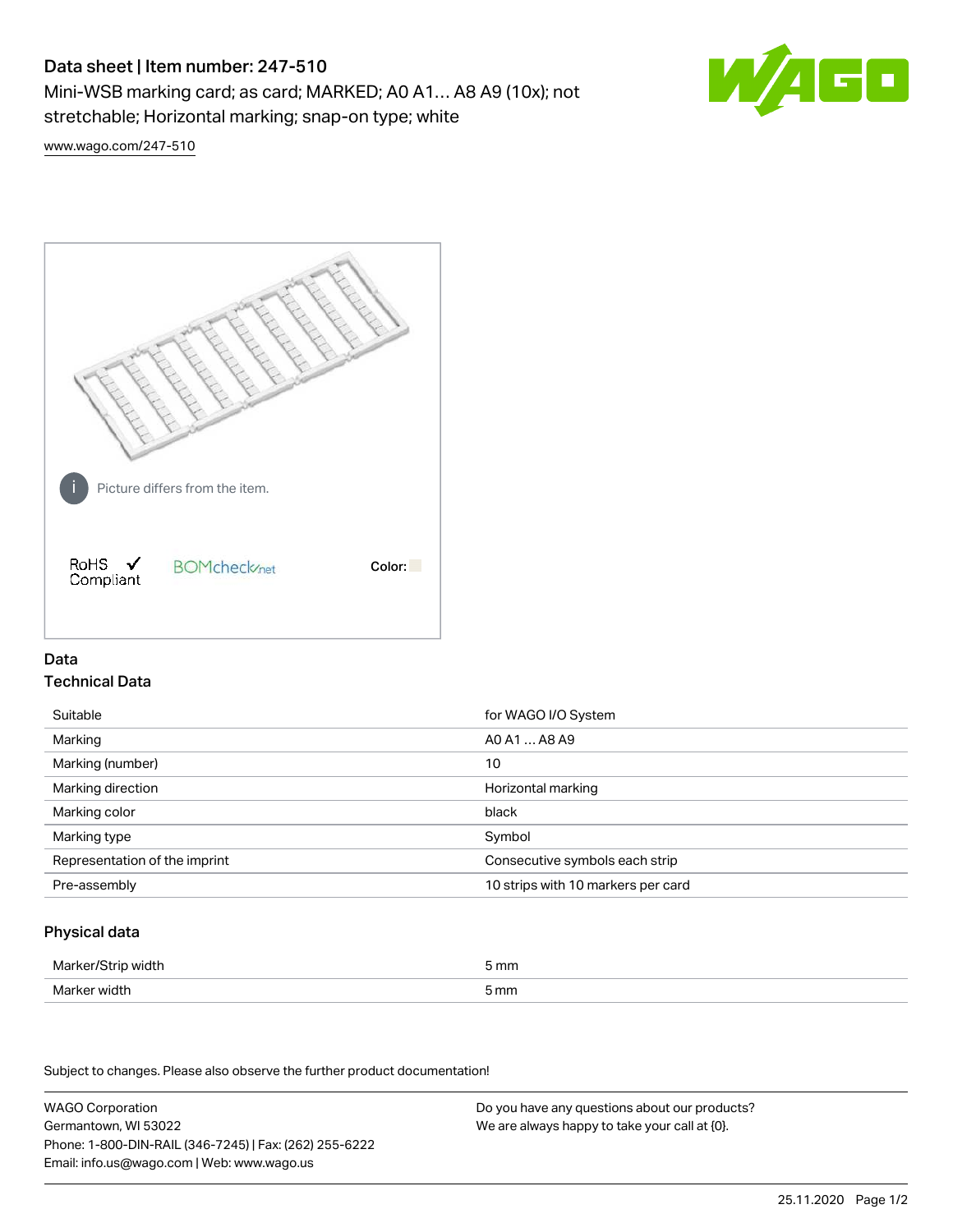# Data sheet | Item number: 247-510

Mini-WSB marking card; as card; MARKED; A0 A1… A8 A9 (10x); not stretchable; Horizontal marking; snap-on type; white



[www.wago.com/247-510](http://www.wago.com/247-510)



## Data Technical Data

| Suitable                      | for WAGO I/O System                |
|-------------------------------|------------------------------------|
| Marking                       | AO A1  A8 A9                       |
| Marking (number)              | 10                                 |
| Marking direction             | Horizontal marking                 |
| Marking color                 | black                              |
| Marking type                  | Symbol                             |
| Representation of the imprint | Consecutive symbols each strip     |
| Pre-assembly                  | 10 strips with 10 markers per card |

## Physical data

| Marker/Strip w <sup></sup><br>width ( | 5 mm |
|---------------------------------------|------|
| Marker width<br>.                     | 5 mm |

Subject to changes. Please also observe the further product documentation!

WAGO Corporation Germantown, WI 53022 Phone: 1-800-DIN-RAIL (346-7245) | Fax: (262) 255-6222 Email: info.us@wago.com | Web: www.wago.us

Do you have any questions about our products? We are always happy to take your call at {0}.